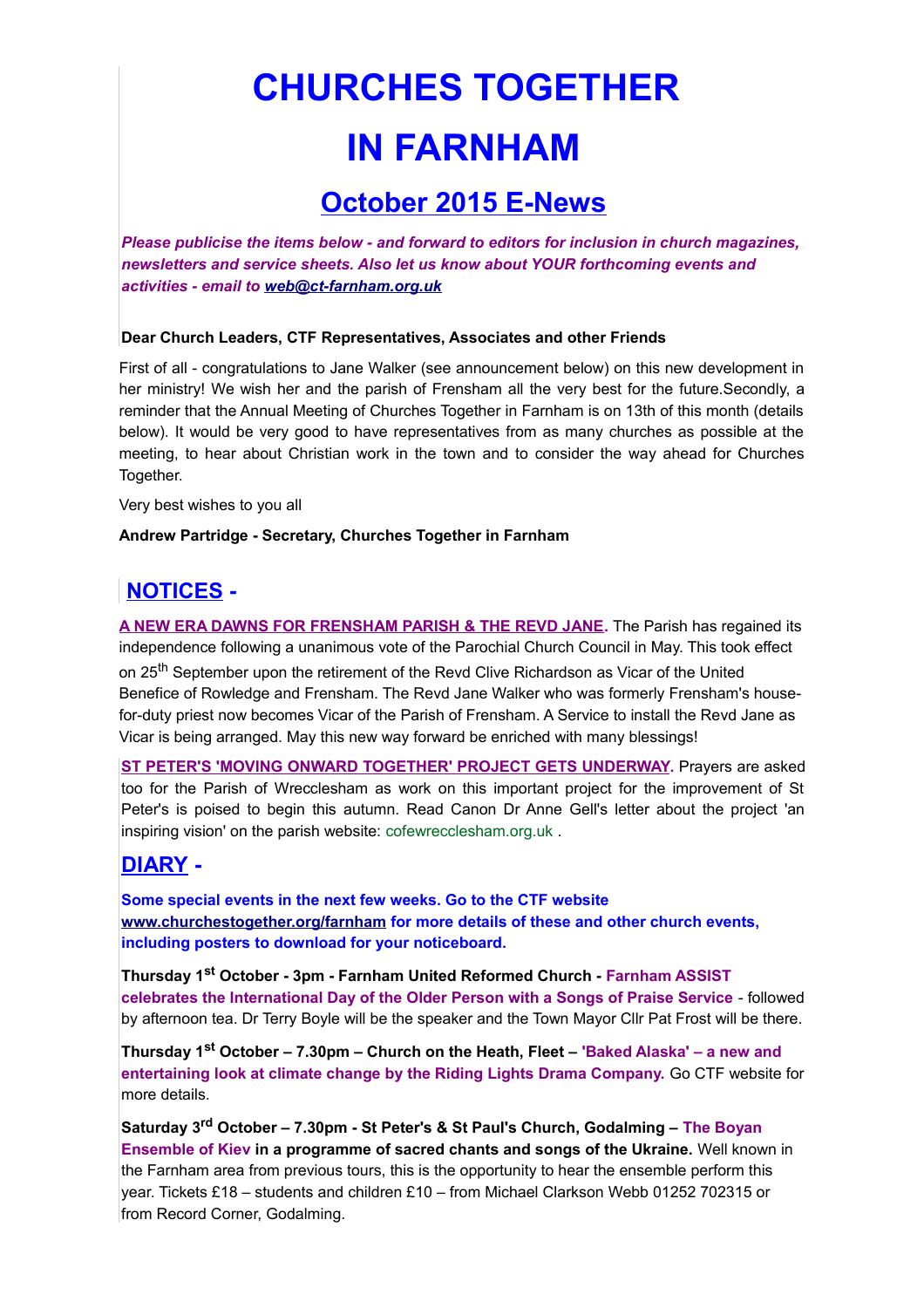# **CHURCHES TOGETHER IN FARNHAM**

## **October 2015 E-News**

*Please publicise the items below - and forward to editors for inclusion in church magazines, newsletters and service sheets. Also let us know about YOUR forthcoming events and activities - email to [web@ct-farnham.org.uk](mailto:web@ct-farnham.org.uk)*

#### **Dear Church Leaders, CTF Representatives, Associates and other Friends**

First of all - congratulations to Jane Walker (see announcement below) on this new development in her ministry! We wish her and the parish of Frensham all the very best for the future. Secondly, a reminder that the Annual Meeting of Churches Together in Farnham is on 13th of this month (details below). It would be very good to have representatives from as many churches as possible at the meeting, to hear about Christian work in the town and to consider the way ahead for Churches Together.

Very best wishes to you all

#### **Andrew Partridge - Secretary, Churches Together in Farnham**

## **NOTICES -**

**A NEW ERA DAWNS FOR FRENSHAM PARISH & THE REVD JANE.** The Parish has regained its independence following a unanimous vote of the Parochial Church Council in May. This took effect on 25<sup>th</sup> September upon the retirement of the Revd Clive Richardson as Vicar of the United Benefice of Rowledge and Frensham. The Revd Jane Walker who was formerly Frensham's housefor-duty priest now becomes Vicar of the Parish of Frensham. A Service to install the Revd Jane as Vicar is being arranged. May this new way forward be enriched with many blessings!

**ST PETER'S 'MOVING ONWARD TOGETHER' PROJECT GETS UNDERWAY.** Prayers are asked too for the Parish of Wrecclesham as work on this important project for the improvement of St Peter's is poised to begin this autumn. Read Canon Dr Anne Gell's letter about the project 'an inspiring vision' on the parish website: [cofewrecclesham.org.uk](http://cofewrecclesham.org.uk/) .

### **DIARY -**

**Some special events in the next few weeks. Go to the CTF website [www.churchestogether.org/farnham](http://www.churchestogether.org/farnham) for more details of these and other church events, including posters to download for your noticeboard.**

**Thursday 1st October - 3pm - Farnham United Reformed Church - Farnham ASSIST celebrates the International Day of the Older Person with a Songs of Praise Service** - followed by afternoon tea. Dr Terry Boyle will be the speaker and the Town Mayor Cllr Pat Frost will be there.

**Thursday 1st October – 7.30pm – Church on the Heath, Fleet – 'Baked Alaska' – a new and entertaining look at climate change by the Riding Lights Drama Company.** Go CTF website for more details.

**Saturday 3rd October – 7.30pm - St Peter's & St Paul's Church, Godalming – The Boyan Ensemble of Kiev in a programme of sacred chants and songs of the Ukraine.** Well known in the Farnham area from previous tours, this is the opportunity to hear the ensemble perform this year. Tickets £18 – students and children £10 – from Michael Clarkson Webb 01252 702315 or from Record Corner, Godalming.